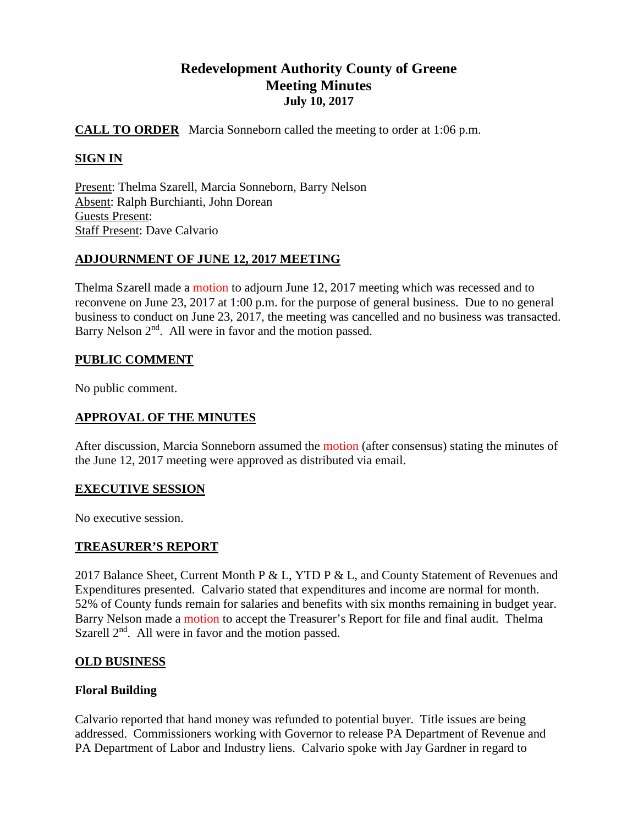# **Redevelopment Authority County of Greene Meeting Minutes July 10, 2017**

## **CALL TO ORDER** Marcia Sonneborn called the meeting to order at 1:06 p.m.

# **SIGN IN**

Present: Thelma Szarell, Marcia Sonneborn, Barry Nelson Absent: Ralph Burchianti, John Dorean Guests Present: Staff Present: Dave Calvario

## **ADJOURNMENT OF JUNE 12, 2017 MEETING**

Thelma Szarell made a motion to adjourn June 12, 2017 meeting which was recessed and to reconvene on June 23, 2017 at 1:00 p.m. for the purpose of general business. Due to no general business to conduct on June 23, 2017, the meeting was cancelled and no business was transacted. Barry Nelson 2<sup>nd</sup>. All were in favor and the motion passed.

## **PUBLIC COMMENT**

No public comment.

## **APPROVAL OF THE MINUTES**

After discussion, Marcia Sonneborn assumed the motion (after consensus) stating the minutes of the June 12, 2017 meeting were approved as distributed via email.

## **EXECUTIVE SESSION**

No executive session.

## **TREASURER'S REPORT**

2017 Balance Sheet, Current Month P & L, YTD P & L, and County Statement of Revenues and Expenditures presented. Calvario stated that expenditures and income are normal for month. 52% of County funds remain for salaries and benefits with six months remaining in budget year. Barry Nelson made a motion to accept the Treasurer's Report for file and final audit. Thelma Szarell  $2<sup>nd</sup>$ . All were in favor and the motion passed.

## **OLD BUSINESS**

## **Floral Building**

Calvario reported that hand money was refunded to potential buyer. Title issues are being addressed. Commissioners working with Governor to release PA Department of Revenue and PA Department of Labor and Industry liens. Calvario spoke with Jay Gardner in regard to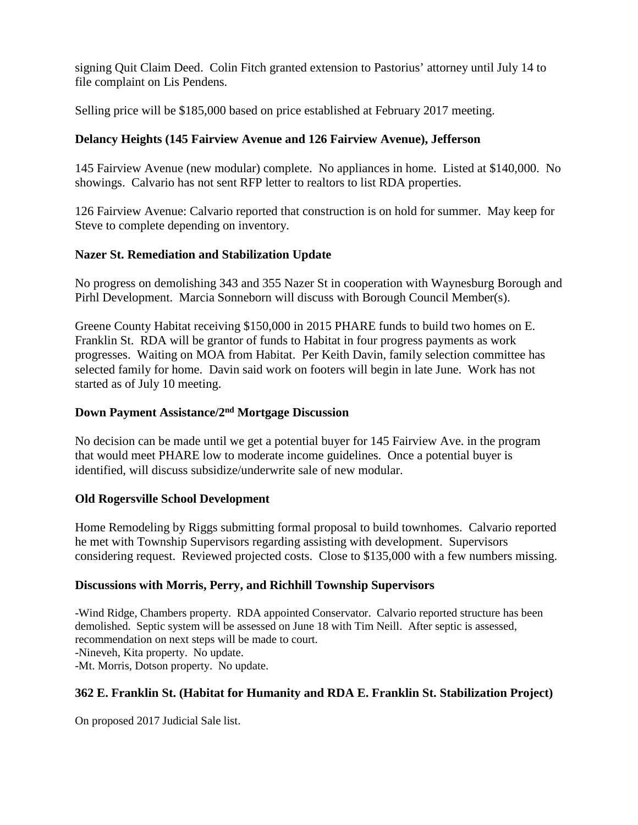signing Quit Claim Deed. Colin Fitch granted extension to Pastorius' attorney until July 14 to file complaint on Lis Pendens.

Selling price will be \$185,000 based on price established at February 2017 meeting.

# **Delancy Heights (145 Fairview Avenue and 126 Fairview Avenue), Jefferson**

145 Fairview Avenue (new modular) complete. No appliances in home. Listed at \$140,000. No showings. Calvario has not sent RFP letter to realtors to list RDA properties.

126 Fairview Avenue: Calvario reported that construction is on hold for summer. May keep for Steve to complete depending on inventory.

## **Nazer St. Remediation and Stabilization Update**

No progress on demolishing 343 and 355 Nazer St in cooperation with Waynesburg Borough and Pirhl Development. Marcia Sonneborn will discuss with Borough Council Member(s).

Greene County Habitat receiving \$150,000 in 2015 PHARE funds to build two homes on E. Franklin St. RDA will be grantor of funds to Habitat in four progress payments as work progresses. Waiting on MOA from Habitat. Per Keith Davin, family selection committee has selected family for home. Davin said work on footers will begin in late June. Work has not started as of July 10 meeting.

# **Down Payment Assistance/2nd Mortgage Discussion**

No decision can be made until we get a potential buyer for 145 Fairview Ave. in the program that would meet PHARE low to moderate income guidelines. Once a potential buyer is identified, will discuss subsidize/underwrite sale of new modular.

## **Old Rogersville School Development**

Home Remodeling by Riggs submitting formal proposal to build townhomes. Calvario reported he met with Township Supervisors regarding assisting with development. Supervisors considering request. Reviewed projected costs. Close to \$135,000 with a few numbers missing.

## **Discussions with Morris, Perry, and Richhill Township Supervisors**

-Wind Ridge, Chambers property. RDA appointed Conservator. Calvario reported structure has been demolished. Septic system will be assessed on June 18 with Tim Neill. After septic is assessed, recommendation on next steps will be made to court. -Nineveh, Kita property. No update. -Mt. Morris, Dotson property. No update.

# **362 E. Franklin St. (Habitat for Humanity and RDA E. Franklin St. Stabilization Project)**

On proposed 2017 Judicial Sale list.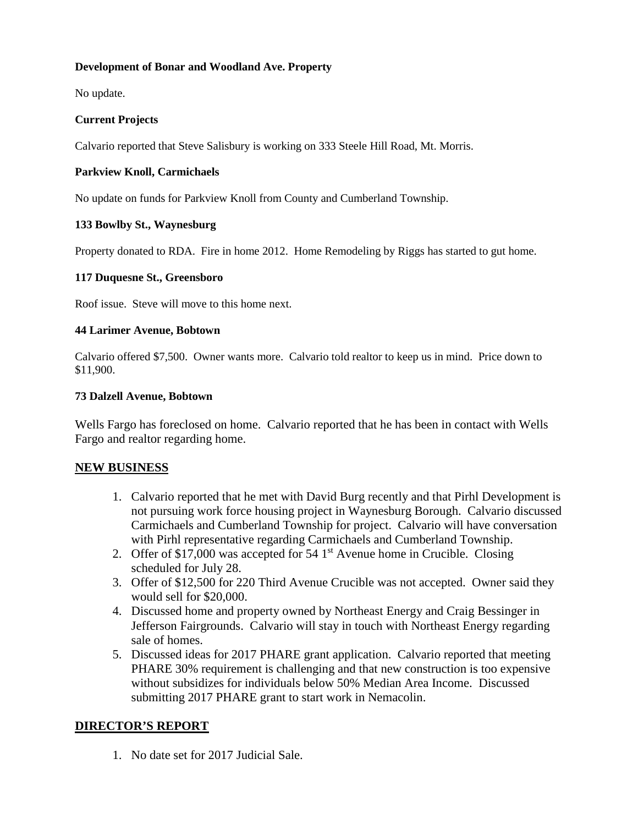#### **Development of Bonar and Woodland Ave. Property**

No update.

#### **Current Projects**

Calvario reported that Steve Salisbury is working on 333 Steele Hill Road, Mt. Morris.

#### **Parkview Knoll, Carmichaels**

No update on funds for Parkview Knoll from County and Cumberland Township.

#### **133 Bowlby St., Waynesburg**

Property donated to RDA. Fire in home 2012. Home Remodeling by Riggs has started to gut home.

#### **117 Duquesne St., Greensboro**

Roof issue. Steve will move to this home next.

#### **44 Larimer Avenue, Bobtown**

Calvario offered \$7,500. Owner wants more. Calvario told realtor to keep us in mind. Price down to \$11,900.

#### **73 Dalzell Avenue, Bobtown**

Wells Fargo has foreclosed on home. Calvario reported that he has been in contact with Wells Fargo and realtor regarding home.

#### **NEW BUSINESS**

- 1. Calvario reported that he met with David Burg recently and that Pirhl Development is not pursuing work force housing project in Waynesburg Borough. Calvario discussed Carmichaels and Cumberland Township for project. Calvario will have conversation with Pirhl representative regarding Carmichaels and Cumberland Township.
- 2. Offer of \$17,000 was accepted for  $54 \text{ 1st}$  Avenue home in Crucible. Closing scheduled for July 28.
- 3. Offer of \$12,500 for 220 Third Avenue Crucible was not accepted. Owner said they would sell for \$20,000.
- 4. Discussed home and property owned by Northeast Energy and Craig Bessinger in Jefferson Fairgrounds. Calvario will stay in touch with Northeast Energy regarding sale of homes.
- 5. Discussed ideas for 2017 PHARE grant application. Calvario reported that meeting PHARE 30% requirement is challenging and that new construction is too expensive without subsidizes for individuals below 50% Median Area Income. Discussed submitting 2017 PHARE grant to start work in Nemacolin.

## **DIRECTOR'S REPORT**

1. No date set for 2017 Judicial Sale.